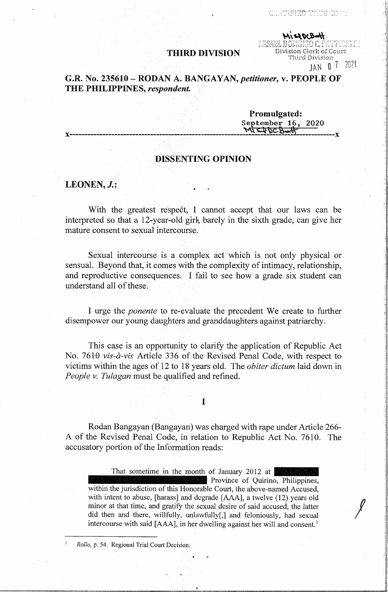# **THIRD DIVISION** Division Clerk of Court<br>Third Division

**CERTIFIED TRUE COPY** 

 $H=4004$ 

JAN O 7 2021

 $\left| \begin{array}{ccc} & & \ & \end{array} \right|$ 

 $\parallel$ 

# **G.R. No. 235610** - **RODAN A~ BAN GAY AN,** *petitioner,* **v. PEOPLE OF THE PHILIPPINES,** *respondent.*

**Promulgated:**  · **September 16, 2020 X----** ------------------------------- -\_- -------------------**"4\\ q ~ci\*** , \_\_\_\_\_\_\_\_\_\_\_ **<sup>X</sup>**

# **DISSENTING OPINION**

# LEONEN, *J.*:

With the greatest respect; I cannot accept that our laws can be interpreted so that a 12-year-old- girl•, barely in the sixth grade, can give her mature consent to sexual intercourse.

Sexual intercourse is a complex act which is not only physical or sensual. Beyond that, it comes with the complexity of intimacy, relationship, and reproductive consequences. -I fail to see how a grade six student can understand all of these.

I urge the *ponente* to re-evaluate the precedent We create to further disempower our young daughters and granddaughters against patriarchy.

This case is an opportunity to clarify the application of Republic Act No. 7610 *vis-a-vis* Article 336 of the Revised Penal Code, with respect to victims within the ages of 12 to 18 years old. The *obiter dictum* laid down in *People v. Tulagan* must be qualified and refined.

I

Rodan Bangayan (Bangayan) was charged with rape under Article 266- A of the Revised Penal Code, in relation to Republic Act No. 7610. The accusatory portion of the Information reads:

That sometime in the month of January 2012 at Province of Quirino, Philippines, within the jurisdiction of this Honorable Court, the above-named Accused, with intent to abuse, [harass] and degrade [AAA], a twelve (12) years old minor at that time, and gratify the sexual desire of said accused, the latter did then and there, willfully, unlawfully[,] and feloniously, had sexual intercourse with said [AAA], in her dwelling against her will and consent.<sup>1</sup>

<sup>1</sup>*Rollo,* p. 54. Regional Trial Court Decision.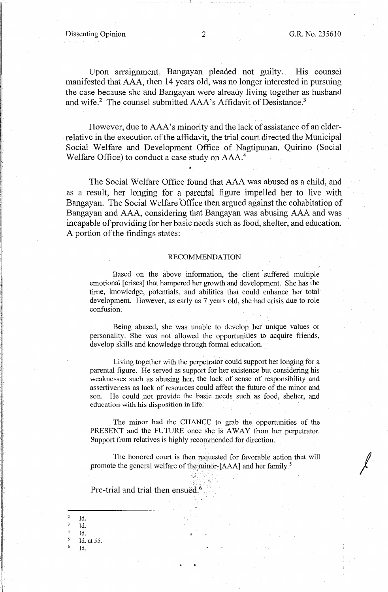*I* 

Upon arraignment, Bangayan pleaded not guilty. His counsel manifested that AAA, then 14 years old, was no longer interested in pursuing the case because she and Bangayan were already living together as husband and wife.<sup>2</sup> The counsel submitted AAA's Affidavit of Desistance.<sup>3</sup>

However, due to AAA's minority and the lack of assistance of an elderrelative in the execution of the affidavit, the trial court directed the Municipal Social Welfare and Development Office of Nagtipunan, Quirino (Social Welfare Office) to conduct a case study on AAA.<sup>4</sup>

The Social Welfare Office found that AAA was abused as a child, and as a result, her longing for a parental figure impelled her to live with Bangayan. The Social Welfare Office then argued against the cohabitation of Bangayan and AAA, considering that Bangayan was abusing AAA and was incapable of providing for her basic needs such as food, shelter, and education. A portion of the findings states:

#### RECOMMENDATION

Based on the above information, the client suffered multiple emotional [crises] that hampered her growth and development. She has the time, knowledge, potentials, and abilities that could enhance her total development. However, as early as 7 years old, she had crisis due to role confusion.

Being abused, she was unable to develop her unique values or personality. She was not allowed the opportunities to acquire friends, develop skills and knowledge through formal education.

Living together with the perpetrator could support her longing for a parental figure. He served as support for her existence but considering his weaknesses such as abusing her, the lack of sense of responsibility and assertiveness as lack of resources could affect the future of the minor and son. He could not provide the basic needs such as food, shelter, and education with his disposition in life.

The minor had the CHANCE to grab the opportunities of the PRESENT and the FUTURE once she is AWAY from her perpetrator. Support from relatives is highly recommended for direction.

The honored court is then requested for favorable action that will promote the general welfare of the minor-[AAA] and her family.<sup>5</sup>

Pre-trial and trial then ensued.<sup>6</sup>

<sup>2</sup>Id. Id. Id. <sup>5</sup>Id. at 55. 6 Id.

l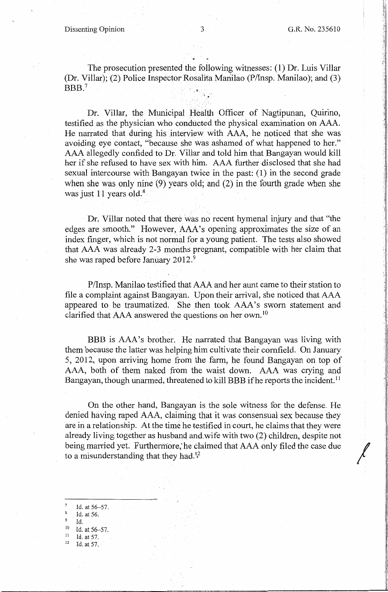Ę. ! .l

> ·.1 .I j

 $\left| \begin{array}{c} \end{array} \right|$ 

The prosecution presented the following witnesses: (1) Dr. Luis Villar (Dr. Villar); (2) Police Inspector Rosalita Manilao (P/Insp. Manilao); and (3)  $BBB.<sup>7</sup>$ 

Dr. Villar, the Municipal Health Officer of Nagtipunan, Quirino, testified as the physician who conducted the physical examination on AAA. He narrated that during his interview with AAA, he noticed that she was avoiding eye contact, "because she was ashamed of what happened to her." AAA allegedly confided to Dr: Villar and told him that Bangayan would kill her if she refused to have sex with him. AAA further disclosed that she had sexual intercourse with Bangayan twice in the past: ( 1) in the second grade when she was only nine (9) years old; and (2) in the fourth grade when she was just 11 years old.<sup>8</sup>

Dr. Villar noted that there was no recent hymenal injury and that "the edges are smooth." However, AAA's opening approximates the size of an index finger, which is not normal for a young patient. The tests also showed that AAA was already 2-3 months pregnant, compatible with her claim that she was raped before January 2012.<sup>9</sup>

P/Insp. Manilao testified that AAA and her aunt came to their station to file a complaint against Bangayan. Upon their arrival, she noticed that AAA appeared to be traumatized. She then took AAA's sworn statement and clarified that  $AAA$  answered the questions on her own.<sup>10</sup>

BBB is AAA's brother. He narrated that Bangayan was living with them because the latter was helping him cultivate their cornfield. On January 5, 2012, upon arriving home from the farm, he found Bangayan on top of AAA, both of them naked from the waist down. AAA was crying and Bangayan, though unarmed, threatened to kill BBB if he reports the incident.<sup>11</sup>

On the other hand, Bangayan is the sole witness for the defense. He denied having raped AAA, claiming that it was consensual sex because they are in a relationship. At the time he testified in court, he claims that they were already living together as husband and wife with two (2) children, despite not being married yet. Furthermore, he claimed that AAA only filed the case due to a misunderstanding that they had.<sup>12</sup>

- Id. at 56-57.
- <sup>8</sup>Id. at 56.
- $^{9}$  Id.
- Id. at 56-57.
- $\frac{11}{12}$  Id. at 57.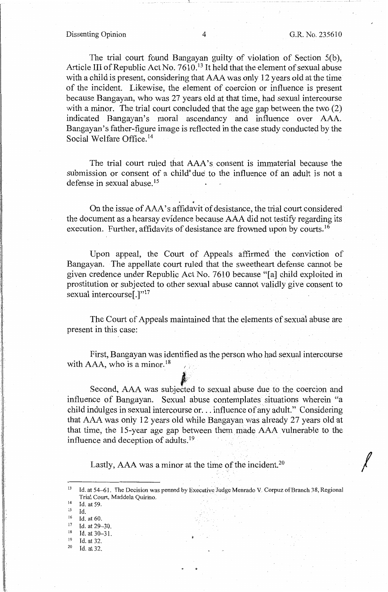- - \_\_ I

*I* 

The trial court found Bangayan guilty of violation of Section 5(b), Article III of Republic Act No. 7610.<sup>13</sup> It held that the element of sexual abuse with a child is present, considering that AAA was only 12 years old at the time of the incident. Likewise, the element of coercion or influence is present because Bangayan, who was 27 years old at that time, had sexual intercourse with a minor. The trial court concluded that the age gap between the two (2) indicated Bangayan's moral ascendancy and influence over AAA. Bangayan's father-figure image is reflected in the case study conducted by the Social Welfare Office. 14

The trial court ruled that AAA's consent is immaterial because the submission or consent of a child due to the influence of an adult is not a defense in sexual abuse. <sup>15</sup>

. On the issue of AAA' s affidavit of desistance, the trial court considered the document as a hearsay evidence because AAA did not testify regarding its execution. Further, affidavits of desistance are frowned upon by courts.<sup>16</sup>

Upon appeal, the Court of Appeals affirmed the conviction of Bangayan. The appellate court ruled that the sweetheart defense cannot be given credence under Republic Act No. 7610 because "[a] child exploited in prostitution or subjected to other sexual abuse cannot validly give consent to sexual intercourse<sup>[.]"17</sup>

The Court of Appeals maintained that the elements of sexual abuse are present in this case:

First, Bangayan was identified as the person who had sexual intercourse with AAA, who is a minor.<sup>18</sup> tified a

Second, AAA was subjected to sexual abuse due to the coercion and influence of Bangayan. Sexual abuse contemplates situations wherein "a child indulges in sexual intercourse or ... influence of any adult." Considering that AAA was only 12 years old while Bangayanwas already 27 years old at that time, the 15-year age gap between them made AAA vulnerable to the influence and deception of adults. <sup>19</sup>

Lastly, AAA was a minor at the time of the incident.<sup>20</sup>

- $^{16}$  Id. at 60.<br> $^{17}$  Id. at 20.
- $17$  Id. at 29-30.

1:

<sup>&</sup>lt;sup>13</sup> Id. at 54-61. The Decision was penned by Executive Judge Menrado V. Corpuz of Branch 38, Regional Trial Court, Maddela Quirino.<br>
<sup>14</sup> Id. at 59.<br>
<sup>15</sup> Id

 $^{15}$  **Id.**<br><sup>16</sup> **Id.** 

 $18$  Id. at 30-31.

 $19$  Id. at 32.<br>
<sup>20</sup> Id. at 32.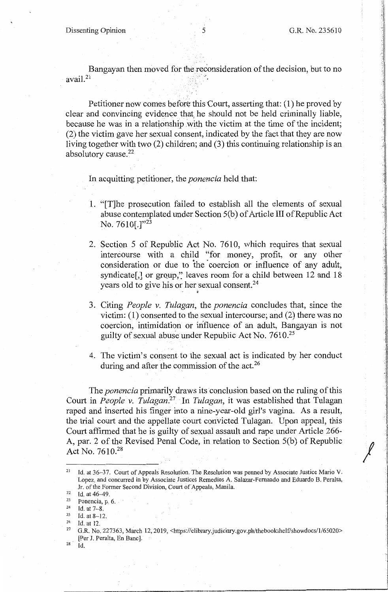$\sqrt{\frac{2}{\pi}}$ 

"• t . :·

 $\cdot$  .  $~\cdot$  11 I ·.1

> $\parallel$  $\mathbb{I}$

-i  $\cdot$  I

Bangayan then moved for the reconsideration of the decision, but to no avail.<sup>21</sup>

Petitioner now comes before this Court, asserting that:  $(1)$  he proved by clear and convincing evidence that, he should not be held criminally liable, because he was in a relationship with the victim at the time of the incident; (2) the victim gave her sexual consent, indicated by the fact that they are now living together with two (2) children; and (3) this continuing relationship is an absolutory cause.<sup>22</sup>

In acquitting petitioner, the *ponencia* held that:

- 1. "[T]he prosecution failed to establish all the elements of sexual abuse contemplated under Section 5(b) of Article III of Republic Act No. 7610[.]"<sup>23</sup>
- 2. Section 5 of Republic Act No. 7610, which requires that sexual intercourse with a child "for money, profit, or any other consideration or due to the coercion or influence of any adult, syndicate<sup>[,]</sup> or group," leaves room for a child between 12 and 18 years old to give his or her sexual consent.<sup>24</sup>
- 3. Citing *People v. Tulagan,* the *ponencia* concludes that, since the victim: (1) consented to the sexual intercourse; and (2) there was no coercion, intimidation or influence of an adult, Bangayan is not guilty of sexual abuse under Republic Act No.  $7610^{25}$
- 4. The victim's consent to the sexual act is indicated by her conduct during and after the commission of the act.<sup>26</sup>

The *ponencia* primarily draws its conclusion based on the ruling of this Court in *People v. Tulagan.* 27 In *Tulagan,* it was established that Tulagan raped and inserted his finger into a nine-year-old girl's vagina. As a result, the trial court and the appellate court convicted Tulagan. Upon appeal, this Court affirmed that he is guilty of sexual assault and rape under Article 266- A, par. 2 of the Revised Penal Code; in relation to Section 5(b) of Republic Act No. 7610.<sup>28</sup>

 $28$  Id.

<sup>21</sup> Id. at 36~37. Court of Appeals Resolution. The Resolution was penned by Associate Justice Mario V. Lopez, and concurred in by Associate Justices Remedios A. Salazar-Fernando and Eduardo B. Peralta,

Jr. of the Former Second Division, Court of Appeals, Manila.<br>
<sup>22</sup> Id. at 46–49.<br>
<sup>23</sup> Id. at 7–8.<br>
<sup>25</sup> Id. at 8–12.<br>
<sup>25</sup> Id. at 8–12.<br>
<sup>26</sup> Id. at 12.<br>
<sup>26</sup> Id. at 12.<br>
<sup>26</sup> Id. at 12. [Per J. Peralta, En Banc].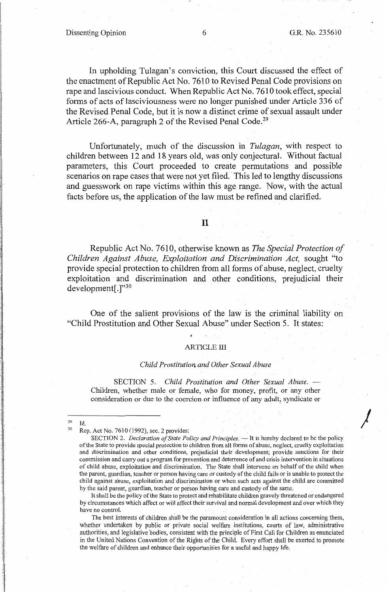*)* 

In upholding Tulagan's conviction, this Court discussed the effect of the enactment of Republic Act No. 7610 to Revised Penal Code provisions on rape and lascivious conduct. When Republic Act No. 7610 took effect, special forms of acts of lasciviousness were no longer punished under Article 336 of the Revised Penal Code, but it is now a distinct crime of sexual assault under Article 266-A, paragraph 2 of the Revised Penal Code.<sup>29</sup>

Unfortunately, much of the discussion in *Tulagan,* with respect to children between 12 and 18 years old, was only conjectural. Without factual parameters, this Court proceeded to create permutations and possible scenarios on rape cases that were not yet filed. This led to lengthy discussions and guesswork on rape victims within this age range. Now, with the actual facts before us, the application of the law must be refined and clarified.

II

Republic Act No. 7610, otherwise known as *The Special Protection of Children Against Abuse, Exploitation and Discrimination Act,* sought "to provide special protection to children from all forms of abuse, neglect, cruelty exploitation and discrimination and other conditions, prejudicial their development[.]"30

One of the salient provisions of the law is the criminal liability on "Child Prostitution and Other Sexual Abuse" under Section 5. It states:

#### ARTICLE III

#### *Child Prostitution, and Other Sexual Abuse*

SECTION 5. *Child Prostitution and Other Sexual Abuse.*  Children, whether male or female, who for money, profit, or any other consideration or due to the coercion or influence of any adult, syndicate or

It shall be the policy of the State to protect and rehabilitate children gravely threatened or endangered by circumstances which affect or will affect their survival and normal development and over which they have no control.

The best interests of children shall be the paramount consideration in all actions concerning them, whether undertaken by public or private social welfare institutions, courts of law, administrative authorities, and legislative bodies, consistent with the principle of First Call for Children as enunciated in the United Nations Convention of the Rights of the Child. Every effort shall be exerted to promote the welfare of children and enhance their opportunities for a useful and happy life.

z9 Id.

Rep. Act No. 7610 (1992), sec. 2 provides:

SECTION 2. *Declaration of State Policy and Principles.* - It is hereby declared to be the policy of the State to provide special protection to children from all forms of abuse, neglect, cruelty exploitation and discrimination and other conditions, prejudicial their development; provide sanctions for their commission and carry out a program for prevention and deterrence of and crisis intervention in situations of child abuse, exploitation and discrimination. The State shall intervene on behalf of the child when the parent, guardian, teacher or person having care or custody of the child fails or is unable to protect the child against abuse, exploitation and discrimination or when such acts against the child are committed by the said parent, guardian, teacher or person having care and custody of the same.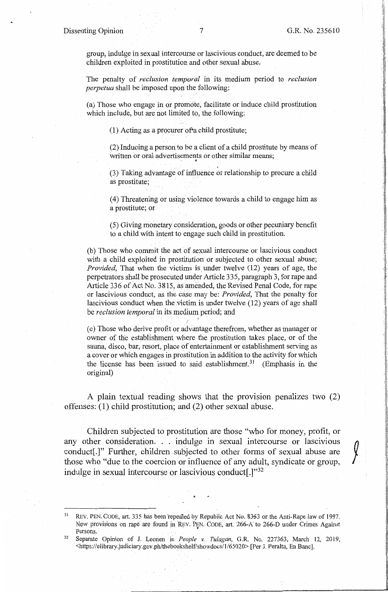i ·!, l

> ,, t,  $\mathcal{H}$

 $\int$ 

I '!-,-

group, indulge in sexual intercourse or lascivious conduct, are deemed to be children exploited in prostitution and other sexual abuse.

The penalty of *reclusion temporal* in its medium period to *reclusion perpetua* shall be imposed upon the following:

(a) Those who engage in or promote, facilitate or induce child prostitution which include, but are not limited to, the following:

(1) Acting as a procurer of•a child prostitute;

(2) Inducing a person to be a client of a child prostitute by means of written or oral advertisements or other similar means;

(3) Taking advantage of influence or relationship to procure a child as prostitute;

(4) Threatening or using violence towards a child to engage him as a prostitute; or

(5) Giving monetary consideration, goods or other pecuniary benefit to a child with intent to engage such child in prostitution.

(b) Those who commit the act of sexual intercourse or lascivious conduct with a child exploited in prostitution or subjected to other sexual abuse; *Provided*, That when the victims is under twelve (12) years of age, the perpetrators shall be prosecuted under Article 335, paragraph 3, for rape and Article 336 of Act No. 3815, as amended, the Revised Penal Code, for rape or lascivious conduct, as the case may be: *Provided,* That the penalty for lascivious conduct when the victim is under twelve (12) years of age shall be *reclusion temporal* in its medium period; and

( c) Those who derive profit or advantage therefrom, whether as manager or owner of the establishment where the prostitution takes place, or of the sauna, disco, bar, resort, place of entertainment or establishment serving as a cover or which engages in prostitution in addition to the activity for which the license has been issued to said establishment.<sup>31</sup> (Emphasis in the original)

A plain textual reading shows that the provision penalizes two (2) offenses: (1) child prostitution; and (2) other sexual abuse.

Children subjected to prostitution are those "who for money, profit, or any other consideration. . . indulge in sexual intercourse or lascivious conduct<sup>[.]"</sup> Further, children subjected to other forms of sexual abuse are those who "due to the coercion or influence of any adult, syndicate or group, indulge in sexual intercourse or lascivious conduct[.]"<sup>32</sup>

<sup>31</sup> REV. PEN. CODE, art. 335 has been repealed by Republic Act No. 8353 or the Anti-Rape law of 1997. New provisions on rape are found in REV. PEN. CODE, art. 266-A to 266-D under Crimes Against Persons. 32 Separate Opinion of J. Leonen in *People v. Tulagan,* G.R. No. 227363, March 12, 2019,

<https://elibrary.judiciary.gov.ph/thebookshel£'showdocs/1/65020> [Per J. Peralta, En Banc].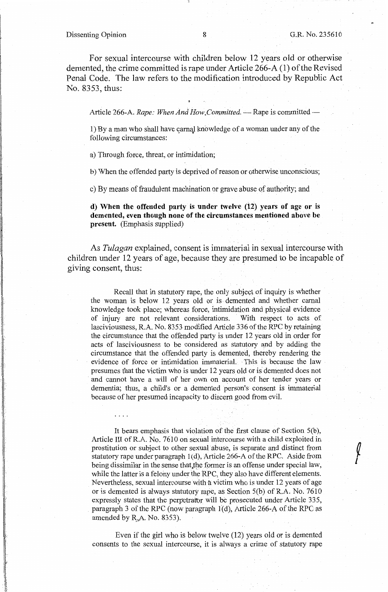I I·

> I' I

> > I'

For sexual intercourse with children below 12 years old or otherwise demented, the crime committed is rape under Article 266-A (1) of the Revised Penal Code. The law refers to the modification introduced by Republic Act No. 8353, thus:

Article 266-A. *Rape: When And How Committed.* - Rape is committed -

1) By a man who shall have carnal knowledge of a woman under any of the following circumstances:

a) Through force, threat, or intimidation;

b) When the offended party is deprived of reason or otherwise unconscious;

c) By means of fraudulent machination or grave abuse of authority; and

**d) When the offended party is under twelve (12) years of age or is demented, even though none of the circumstances mentioned above be present.** (Emphasis supplied)

As *Tulagan* explained, consent is immaterial in sexual intercourse with children under 12 years of age, because they are presumed to be incapable of giving consent, thus:

Recall that in statutory rape, the only subject of inquiry is whether the woman is below 12 years old or is. demented and whether carnal knowledge took place; whereas force, intimidation and physical evidence of injury are not relevant considerations. With respect to acts of lasciviousness, R.A. No. 8353 modified Article 336 of the RPC by retaining the circumstance that the offended party is under 12 years old in order for acts of lasciviousness to be considered as statutory and by adding the circumstance that the offended party is demented, thereby rendering the evidence of force or intimidation immaterial. This is because the law presumes that the victim who is under 12 years. old or is demented does not and cannot have a will of her own on account of her tender years or dementia; thus, a child's or a demented person's consent is immaterial because of her presumed incapacity to discern good from evil.

It bears emphasis that violation of the first clause of Section 5(b), Article III ofR.A. No. 7610 on sexual intercourse with a child exploited in prostitution or subject to other sexual abuse, is separate and distinct from statutory rape under paragraph 1(d), Article 266-A of the RPC. Aside from being dissimilar in the sense that the former is an offense under special law, while the latter is a felony under the RPC, they also have different elements. Nevertheless, sexual intercourse with a victim who is under 12 years of age or is demented is always statutory rape, as Section 5(b) of R.A. No. 7610 expressly states that the perpetrator will be prosecuted under Article 335, paragraph 3 of the RPC (now paragraph  $1(d)$ , Article 266-A of the RPC as amended by R.A. No. 8353).

Even if the girl who is below twelve (12) years old or is demented consents to the sexual intercourse, it is always a crime of statutory rape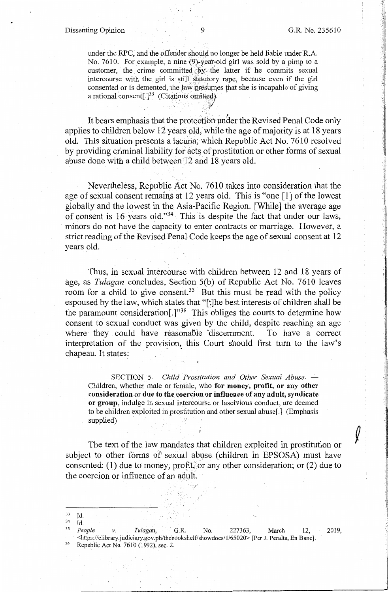į. ,I : I

-~

 $,$  ii  $^{\circ\prime\prime\prime}$ :1

> i !

under the RPC, and the offender should no longer be held liable under R.A. No. 7610. For example, a nine (9)-year-old girl was sold by a pimp to a customer, the crime committed by the latter if he commits sexual intercourse with the girl is still statutory rape, because even if the girl consented or is demented, the law presumes that she is incapable of giving a rational consent[.] $^{33}$  (Citations omitted)

It bears emphasis that the protection under the Revised Penal Code only applies to children below 12 years old, while the age of majority is at 18 years old. This situation presents a lacuna; which Republic Act No. 7610 resolved by providing criminal liability for acts of prostitution or other forms of sexual abuse done with a child between 12 and 18 years old.

Nevertheless, Republic Act No. 7610 takes into consideration that the age of sexual consent remains at 12 years old. This is "one [l] of the lowest globally and the lowest in the Asia-Pacific Region. [While] the average age of consent is 16 years old."34 This is despite the fact that under our laws, minors do not have the capacity to enter contracts or marriage. However, a strict reading of the Revised Penal Code keeps the age of sexual consent at 12 years old.

Thus, in sexual intercourse with children between 12 and 18 years of age, as *Tulagan* concludes, Section 5(b) of Republic Act No. 7610 leaves room for a child to give consent.<sup>35</sup> But this must be read with the policy espoused by the law, which states that "[t]he best interests of children shall be the paramount consideration<sup>[.]"36</sup> This obliges the courts to determine how consent to sexual conduct was given by the child, despite reaching an age where they could have reasonable discernment. To have a correct interpretation of the provision, this Court should first turn to the law's chapeau. It states:

SECTION 5. *Child Prostitution and Other Sexual Abuse*. -Children, whether male or female, who **for money, profit, or any other consideration** or **due to the coercion or influence of any adult, syndicate or group,** indulge in sexual intercourse or lascivious conduct, are deemed to be children exploited in prostitution and other sexual abuse[.] (Emphasis supplied)

The text of the law mandates that children exploited in prostitution or subject to other forms of sexual abuse ( children in EPSOSA) must have consented: (1) due to money, profit, or any other consideration; or (2) due to the coercion or influence of an adult.

<sup>33</sup> Id.

<sup>34</sup> Id. 35 *People v. Tulagan,* · G.R. No. 227363, March 12, 2019, <https://elibrary.judiciary.gov.ph/thebookshelf/showdocs/1/65020> [Per J. Peralta, En Banc]. 36 Republic Act No. 7610 (1992), sec. 2.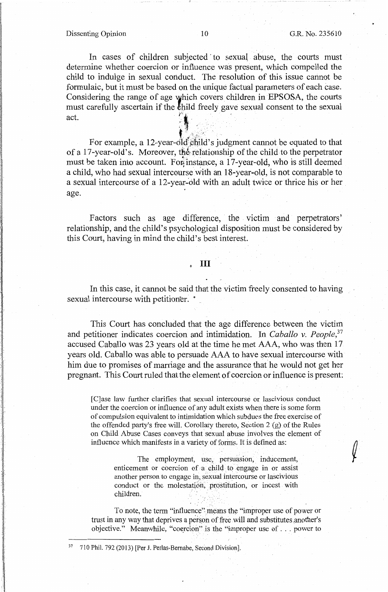Dissenting Opinion 10 G.R. No. *235610* 

In cases of children subjected to sexual abuse, the courts must determine whether coercion or influence was present, which compelled the child to indulge in sexual conduct. The resolution of this issue cannot be formulaic, but it must be based on the unique factual parameters of each case. Considering the range of age which covers children in EPSOSA, the courts must carefully ascertain if the  $\frac{1}{k}$  field freely gave sexual consent to the sexual act. *:. ~:* . , . . . . • !f . ' .. ': ...... *. '-:·}.~;-...* . ·.

For example, a 12-year-old child's judgment cannot be equated to that of a 17-year-old's. Moreover, the relationship of the child to the perpetrator must be taken into account. For instance, a 17-year-old, who is still deemed a child, who had sexual intercourse with an 18-year-old, is not comparable to a sexual intercourse of a 12-year-old with an adult twice or thrice his or her age.

Factors such as age difference, the victim and perpetrators' relationship, and the child's psychological disposition must be considered by this Court, having in mind the child's best interest.

#### • III

In this case, it cannot be said that the victim freely consented to having sexual intercourse with petitioner.  $\degree$ ..

This Court has concluded that the age difference between the victim and petitioner indicates coercion and intimidation. In *Caballo v. People*,<sup>37</sup> accused Caballo was 23 years old at the time he met AAA, who was then 17 years old. Caballo was able to persuade AAA to have sexual intercourse with him due to promises of marriage and the assurance that he would not get her pregnant. This Court ruled that the element of coercion or influence is present:

[C]ase law further clarifies that sexual intercourse or lascivious conduct under the coercion or influence of any adult exists when there is some form of compulsion equivalent to intimidation which subdues the free exercise of the offended party's free will. Corollary thereto, Section 2 {g) of the Rules on Child Abuse Cases conveys that sexual abuse involves the element of influence which manifests in a variety of forms. It is defined as:

> The employment, use, persuasion, inducement, enticement or coercion of a child to engage in or assist another person to engage in; sexual intercourse or lascivious conduct or the molestation, prostitution, or incest with children.

To note, the term "influence'' means the "improper use of power or trust in any way that deprives a person of free will and substitutes another's objective." Meanwhile, "coercion" is the "improper use of . . . power to

<sup>37 710</sup> Phil. 792 (2013) [Per J. Perlas-Bernabe, Second Division].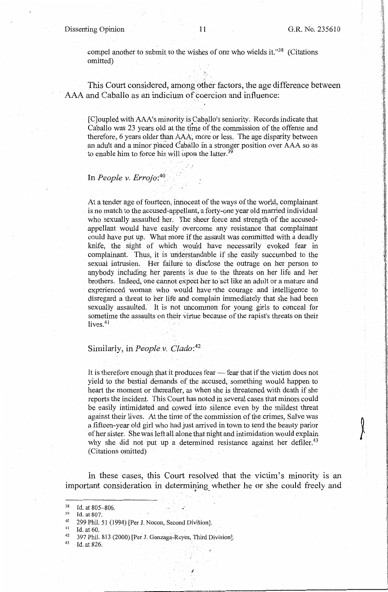,I

compel another to submit to the wishes of one who wields it."<sup>38</sup> (Citations omitted)

This Court considered, among other factors, the age difference between AAA and Caballo as an indicium of coercion and influence:

[C]oupled with AAA's minority is Caballo's seniority. Records indicate that Caballo was 23 years old at the time of the commission of the offense and therefore, 6 years older than AAA, more or less. The age disparity between an adult and a minor placed Caballo in a stronger position over AAA so as to enable him to force his will upon the latter.<sup>39</sup>

',

## In *People v. Errojo:<sup>40</sup>*

At a tender age of fourteen, innocent of the ways of the world, complainant is no match to the accused-appellant, a forty-one year old married individual who sexually assaulted her. The sheer force and strength of the accusedappellant would have easily overcome any resistance that complainant could have put up. What more if the assault was committed with a deadly knife, the sight of which would have necessarily evoked fear in complainant. Thus, it is understandable if she easily succumbed to the sexual intrusion. Her failure to disclose the outrage on her person to anybody including her parents is due to the threats on her life and her brothers. Indeed, one cannot expecther to act like an adult or a mature and experienced woman who would have the courage and intelligence to disregard a threat to her life and complain immediately that she had been sexually assaulted. It is not uncommon for young girls to conceal for sometime the assaults on their virtue because of the rapist's threats on their lives. $41$ 

#### Similarly, in *People v. Clado:42*

It is therefore enough that it produces fear - fear that if the victim does not yield to the bestial demands of the accused, something would happen to heart the moment or thereafter, as when she is threatened with death if she reports the incident. This Court has noted ih several cases that minors could be easily intimidated and cowed into silence even by the mildest threat against their lives. At the time of the commission of the crimes, Salve was a fifteen-year old girl who had just arrived in town to tend the beauty parlor of her sister. She was left all alone that night and intimidation would explain why she did not put up a determined resistance against her defiler.<sup>43</sup> (Citations omitted)

In these cases, this Court resolved that the victim's minority is an important consideration in determining whether he or she could freely and

 $38$  Id. at 805-806.<br> $39$  Id. at 807.

<sup>40 299</sup> Phil. 51 (1994) [Per J. Nocon, Second Division].<br> $^{41}$  Id. at 60.<br> $^{42}$  397 Phil. 813 (2000) [Per J. Gonzaga-Reyes, Third Division].<br> $^{43}$  Id. at 826.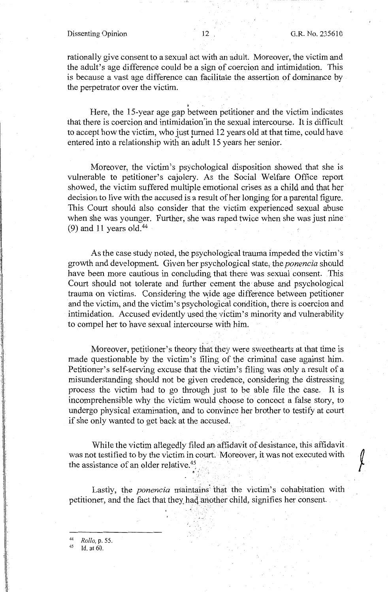#### Dissenting Opinion 12 , G.R. No. 235610

rationally give consent to a sexual act with an adult. Moreover, the victim and the adult's age difference could be a sign of coercion and intimidation. This is because a vast age difference can facilitate the assertion of dominance by the perpetrator over the victim.

៖<br>1 Here, the 15-year age gap between petitioner and the victim indicates that there is coercion and intimidation'in the sexual intercourse. It is difficult to accept how the victim, who just turned 12 years old at that time, could have entered into a relationship with an adult 15 years her senior.

Moreover, the victim's psychological disposition showed that she is vulnerable to petitioner's cajolery. As the Social Welfare Office report showed, the victim suffered multiple emotional crises as a child and that her decision to live with the accused is a result of her longing for a parental figure. This Court should also consider that the victim experienced sexual abuse when she was younger. Further, she was raped twice when she was just nine  $(9)$  and 11 years old.<sup>44</sup>

As the case study noted, the psychological trauma impeded the victim's growth and development. Given her psychological state, the *ponencia* should have been more cautious in concluding that there was sexual consent. This Court should not tolerate and further cement the abuse and psychological trauma on victims. Considering the wide age difference between petitioner and the victim, and the victim's psychological condition, there is coercion and intimidation. Accused evidently used the victim's minority and vulnerability to compel her to have sexual intercourse with him.

Moreover, petitioner's theory that they were sweethearts at that time is made questionable by the victim's filing of the criminal case against him. Petitioner's self-serving excuse that the victim's filing was only a result of a misunderstanding should not be given credence, considering the distressing process the victim had to go through just to be able file the case. It is incomprehensible why the victim would choose to concoct a false story, to undergo physical examination, and to convince her brother to testify at court if she only wanted to get back at the accused.

While the victim allegedly filed an affidavit of desistance, this affidavit was not testified to by the victim in court. Moreover, it was not executed with the assistance of an older relative.<sup>45</sup>

Lastly, the *ponencia* maintains that the victim's cohabitation with petitioner, and the fact that they\_ haq another child, signifies her consent.

g . ~-. -.

<sup>44</sup>*Rollo,* p. 55.

Id. at 60.

 $\mathbb{I}^-$ .I i.

I

 $\mathbf{l}$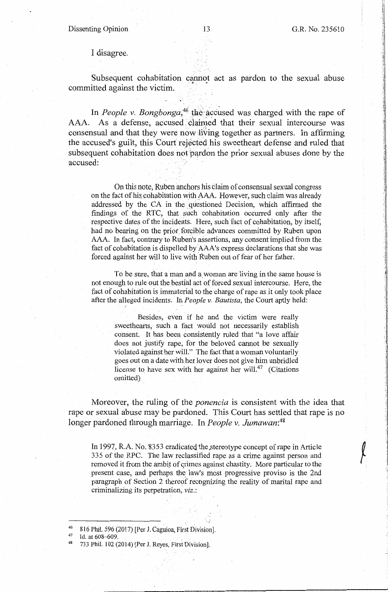,. the company of

.1

## I disagree.

Subsequent cohabitation cannot act as pardon to the sexual abuse committed against the victim.

In *People v. Bongbonga*,<sup>46</sup> the accused was charged with the rape of AAA. As a defense, accused claimed that their sexual intercourse was consensual and that they were now JiYing together as partners. In affirming the accused's guilt, this Court rejected his sweetheart defense and ruled that subsequent cohabitation does not pardon the prior sexual abuses done by the accused:

On this note, Ruben anchors his claim of consensual sexual congress on the fact of his cohabitation with AAA. However, such claim was already addressed by the CA in the questioned Decision, which affirmed the findings of the RTC, that such cohabitation occurred only after the respective dates of the incidents. Here, such fact of cohabitation, by itself, had no bearing on the prior forcible advances committed by Ruben upon AAA. In fact, contrary to Ruben's assertions, any consent implied from the fact of cohabitation is dispelled by AAA's express declarations that she was forced against her will to live with Ruben out of fear of her father.

To be sure, that a man and a woman are living in the same house is not enough to rule out the bestial act of forced sexual intercourse. Here, the fact of cohabitation is immaterial to the charge of rape as it only took place after the alleged incidents. In *People v. Bautista*, the Court aptly held:

> Besides, even if he and the victim were really sweethearts, such a fact would not necessarily establish consent. It has been consistently ruled that "a love affair does not justify rape, for the beloved cannot be sexually violated against her will." The fact that a woman voluntarily goes out on a date with her lover does not give him unbridled license to have sex with her against her will.<sup>47</sup> (Citations omitted)

Moreover, the ruling of the *ponencia* is consistent with the idea that rape or sexual abuse may be pardoned. This Court has settled that rape is no longer pardoned through marriage. In *People* v. *Jumawan: <sup>48</sup>*

In 1997, R.A. No. 8353 eradicated the stereotype concept of rape in Article 335 of the RPC. The law reclassified rape as a crime against person and removed it from the ambit of crimes against chastity. More particular to the present case, and perhaps the law's most progressive proviso is the 2nd paragraph of Section 2 thereof recbgnizing the reality of marital rape and criminalizing its perpetration, *viz.*:

<sup>&</sup>lt;sup>46</sup> 816 Phil. 596 (2017) [Per J. Caguioa, First Division].<br><sup>47</sup> Id. at 608–609.

<sup>733</sup> Phil. 102 (2014) [Per J. Reyes, First Division].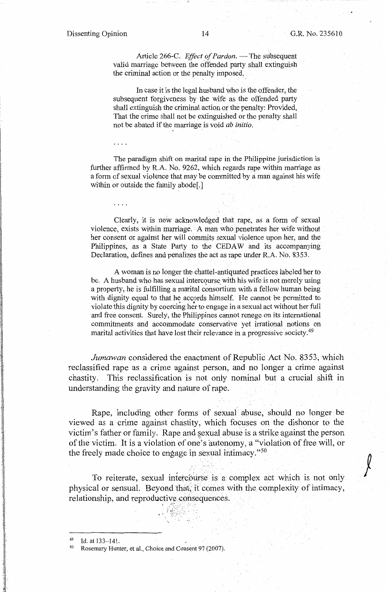$\int$ 

Article 266-C. *Effect of Pardon*. - The subsequent valid marriage between the offended party shall extinguish the criminal action or the penalty imposed:

In case it is the legal husband who is the offender, the subsequent forgiveness by the wife as the offended party shall extinguish the criminal action or the penalty: Provided, That the crime shall not be extinguished or the penalty shall not be abated if the marriage is void *ab initio.* 

The paradigm shift on marital rape in the Philippine jurisdiction is further affirmed by R.A. No. 9262, which regards rape within marriage as a form of sexual violence that may be committed by a man against his wife within or outside the family abode[.]

Clearly, it is now acknowledged that rape, as a form of sexual violence, exists within marriage. A man who penetrates her wife without her consent or against her will commits sexual violence upon her, and the Philippines, as a State Party to the CEDAW and its accompanying Declaration, defines and penalizes the act as rape under R.A. No. 8353.

A woman is no longer the chattel-antiquated practices labeled her to be. A husband who has sexual intercourse with his wife is not merely using a property, he is fulfilling a marital consortium with a fellow human being with dignity equal to that he accords himself. He cannot be permitted to violate this dignity by coercing her to engage in a sexual act without her full and free consent. Surely, the Philippines cannot renege on its international commitments and accommodate conservative yet irrational notions on marital activities that have lost their relevance in a progressive society.<sup>49</sup>

*Jumawan* considered the enactment of Republic Act No. 8353, which reclassified rape as a crime against person, and no longer a crime against chastity. This reclassification is not only nominal but a crucial shift in understanding the gravity and nature of rape.

Rape, including other forms of sexual abuse, should no longer be viewed as a crime against chastity, which focuses on the dishonor to the victim's father or family. Rape and sexual abuse is a strike against the person of the victim. It is a violation of one's autonomy, a "violation of free will, or the freely made choice to engage in sexual intimacy."<sup>50</sup>

To reiterate, sexual intercourse is a complex act which is not only physical or sensual. Beyond that, it comes with the complexity of intimacy, relationship, and reproductive consequences.

i

*<sup>l</sup>*• ;\_;-,·.;· .. , .

<sup>&</sup>lt;sup>49</sup> Id. at 133–141.<br><sup>50</sup> Rosemary Hunter, et al., Choice and Consent 97 (2007).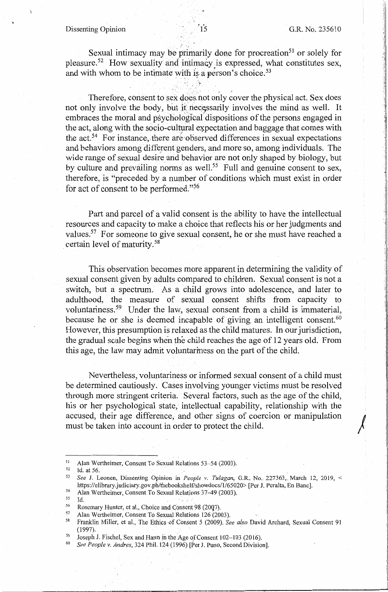# Dissenting Opinion , .

 $\sqrt{2}$ 

• I I

Sexual intimacy may be primarily done for procreation<sup>51</sup> or solely for pleasure.<sup>52</sup> How sexuality and intimacy is expressed, what constitutes sex, and with whom to be intimate with is a person's choice.<sup>53</sup>

 $\sigma_{\rm c}$  .

Therefore, consent to sex does not only cover the physical act. Sex does not only involve the body, but it necessarily involves the mind as well. It embraces the moral and psychological dispositions of the persons engaged in the act, along with the socio-cultural expectation and baggage that comes with the act.<sup>54</sup> For instance, there are observed differences in sexual expectations and behaviors among different genders, and more so, among individuals. The wide range of sexual desire and behavior are not only shaped by biology, but by culture and prevailing norms as well.<sup>55</sup> Full and genuine consent to sex, therefore, is "preceded by a number of conditions which must exist in order for act of consent to be performed."56

Part and parcel of a valid consent is the ability to have the intellectual resources and capacity to make a choice that reflects his or her judgments and values.<sup>57</sup> For someone to give sexual consent, he or she must have reached a certain level of maturity. 58

This observation becomes more apparent in determining the validity of sexual consent given by adults compared to children. Sexual consent is not a switch, but a spectrum. As a child grows into adolescence, and later to adulthood, the measure of sexual consent shifts from capacity to voluntariness.59 Under the law, sexual consent from a child is immaterial, because he or she is deemed incapable of giving an intelligent consent.  $60$ However, this presumption is relaxed as the child matures. In our jurisdiction, the gradual scale begins when the child reaches the age of 12 years old. From this age, the law may admit voluntariness on the part of the child.

Nevertheless, voluntariness or informed sexual consent of a child must be determined cautiously. Cases involving younger victims must be resolved through more stringent criteria. Several factors, such as the age of the child, his or her psychological state, intellectual capability, relationship with the accused, their age difference, and other signs of coercion or manipulation must be taken into account in order to protect the child.

- 
- $\frac{55}{56}$  Id.

·,

<sup>51</sup> Alan Wertheimer, Consent To Sexual Relations 53-54 (2003).<br>
52 Id. at 56.<br>
53 *See J. Leonen, Dissenting Opinion in <i>People v. Tulagan*, G.R., No. 227363, March 12, 2019, < https://elibrary.judiciary.gov.ph/thebookshelf/showdocs/1/65020> [Per J. Peralta, En Banc].<br>
54 Alan Wertheimer, Consent To Sexual Relations 37-49 (2003).

<sup>&</sup>lt;sup>56</sup> Rosemary Hunter, et al., Choice and Consent 98 (2007).<br><sup>57</sup> Alan Wertheimer, Consent To Sexual Relations 126 (2003).<br><sup>58</sup> Franklin Miller, et al., The Ethics of Consent 5 (2009). *See also* David Archard, Sexual Conse (1997).

<sup>59</sup> Joseph J. Fischel, Sex and Harm in the Age of Consent 102-103 (2016). 60 *See People v. Andres,* 324 Phil. 124 (1996) [Per J. Puno, Second Division].